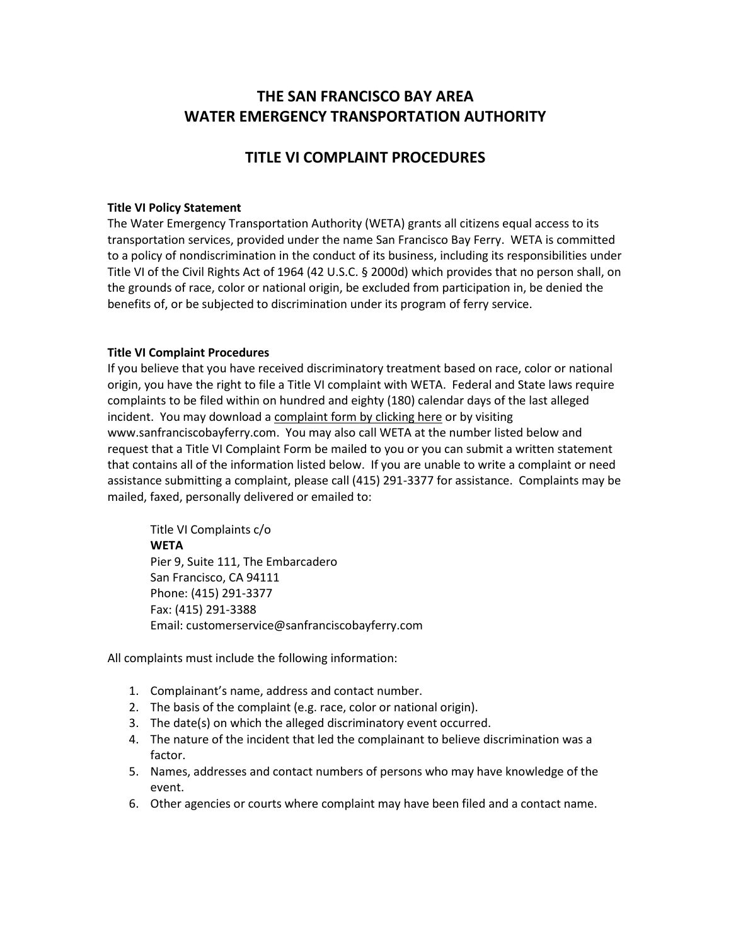# **THE SAN FRANCISCO BAY AREA WATER EMERGENCY TRANSPORTATION AUTHORITY**

### **TITLE VI COMPLAINT PROCEDURES**

#### **Title VI Policy Statement**

The Water Emergency Transportation Authority (WETA) grants all citizens equal access to its transportation services, provided under the name San Francisco Bay Ferry. WETA is committed to a policy of nondiscrimination in the conduct of its business, including its responsibilities under Title VI of the Civil Rights Act of 1964 (42 U.S.C. § 2000d) which provides that no person shall, on the grounds of race, color or national origin, be excluded from participation in, be denied the benefits of, or be subjected to discrimination under its program of ferry service.

#### **Title VI Complaint Procedures**

If you believe that you have received discriminatory treatment based on race, color or national origin, you have the right to file a Title VI complaint with WETA. Federal and State laws require complaints to be filed within on hundred and eighty (180) calendar days of the last alleged incident. You may download a complaint form by clicking here or by visiting www.sanfranciscobayferry.com. You may also call WETA at the number listed below and request that a Title VI Complaint Form be mailed to you or you can submit a written statement that contains all of the information listed below. If you are unable to write a complaint or need assistance submitting a complaint, please call (415) 291-3377 for assistance. Complaints may be mailed, faxed, personally delivered or emailed to:

Title VI Complaints c/o **WETA** Pier 9, Suite 111, The Embarcadero San Francisco, CA 94111 Phone: (415) 291-3377 Fax: (415) 291-3388 Email: customerservice@sanfranciscobayferry.com

All complaints must include the following information:

- 1. Complainant's name, address and contact number.
- 2. The basis of the complaint (e.g. race, color or national origin).
- 3. The date(s) on which the alleged discriminatory event occurred.
- 4. The nature of the incident that led the complainant to believe discrimination was a factor.
- 5. Names, addresses and contact numbers of persons who may have knowledge of the event.
- 6. Other agencies or courts where complaint may have been filed and a contact name.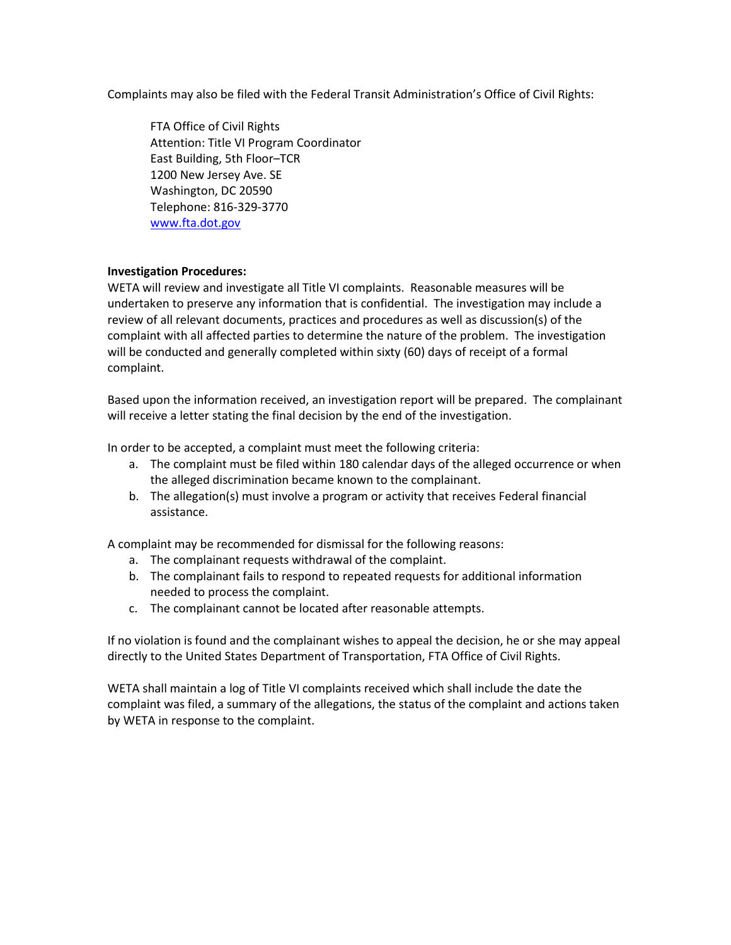Complaints may also be filed with the Federal Transit Administration's Office of Civil Rights:

FTA Office of Civil Rights Attention: Title VI Program Coordinator East Building, 5th Floor–TCR 1200 New Jersey Ave. SE Washington, DC 20590 Telephone: 816-329-3770 [www.fta.dot.gov](http://www.fta.dot.gov/)

#### **Investigation Procedures:**

WETA will review and investigate all Title VI complaints. Reasonable measures will be undertaken to preserve any information that is confidential. The investigation may include a review of all relevant documents, practices and procedures as well as discussion(s) of the complaint with all affected parties to determine the nature of the problem. The investigation will be conducted and generally completed within sixty (60) days of receipt of a formal complaint.

Based upon the information received, an investigation report will be prepared. The complainant will receive a letter stating the final decision by the end of the investigation.

In order to be accepted, a complaint must meet the following criteria:

- a. The complaint must be filed within 180 calendar days of the alleged occurrence or when the alleged discrimination became known to the complainant.
- b. The allegation(s) must involve a program or activity that receives Federal financial assistance.

A complaint may be recommended for dismissal for the following reasons:

- a. The complainant requests withdrawal of the complaint.
- b. The complainant fails to respond to repeated requests for additional information needed to process the complaint.
- c. The complainant cannot be located after reasonable attempts.

If no violation is found and the complainant wishes to appeal the decision, he or she may appeal directly to the United States Department of Transportation, FTA Office of Civil Rights.

WETA shall maintain a log of Title VI complaints received which shall include the date the complaint was filed, a summary of the allegations, the status of the complaint and actions taken by WETA in response to the complaint.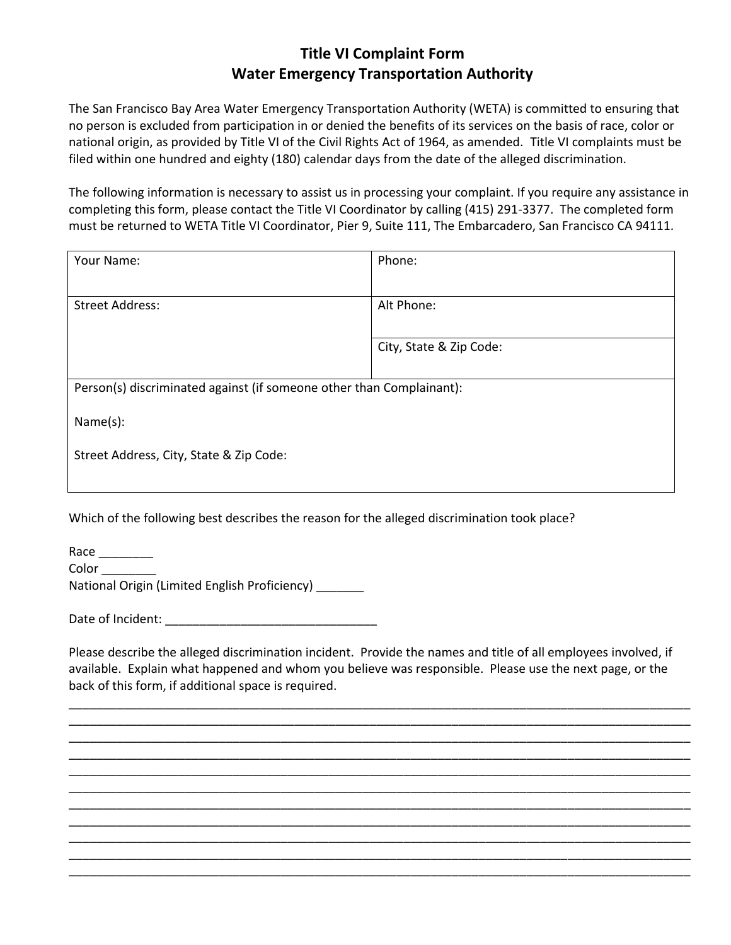## **Title VI Complaint Form Water Emergency Transportation Authority**

The San Francisco Bay Area Water Emergency Transportation Authority (WETA) is committed to ensuring that no person is excluded from participation in or denied the benefits of its services on the basis of race, color or national origin, as provided by Title VI of the Civil Rights Act of 1964, as amended. Title VI complaints must be filed within one hundred and eighty (180) calendar days from the date of the alleged discrimination.

The following information is necessary to assist us in processing your complaint. If you require any assistance in completing this form, please contact the Title VI Coordinator by calling (415) 291-3377. The completed form must be returned to WETA Title VI Coordinator, Pier 9, Suite 111, The Embarcadero, San Francisco CA 94111.

| Phone:                                                               |
|----------------------------------------------------------------------|
| Alt Phone:                                                           |
| City, State & Zip Code:                                              |
| Person(s) discriminated against (if someone other than Complainant): |
|                                                                      |
|                                                                      |
|                                                                      |

Which of the following best describes the reason for the alleged discrimination took place?

| Race                                          |  |
|-----------------------------------------------|--|
| Color                                         |  |
| National Origin (Limited English Proficiency) |  |

Date of Incident:

Please describe the alleged discrimination incident. Provide the names and title of all employees involved, if available. Explain what happened and whom you believe was responsible. Please use the next page, or the back of this form, if additional space is required.

\_\_\_\_\_\_\_\_\_\_\_\_\_\_\_\_\_\_\_\_\_\_\_\_\_\_\_\_\_\_\_\_\_\_\_\_\_\_\_\_\_\_\_\_\_\_\_\_\_\_\_\_\_\_\_\_\_\_\_\_\_\_\_\_\_\_\_\_\_\_\_\_\_\_\_\_\_\_\_\_\_\_\_\_\_\_\_\_\_\_\_ \_\_\_\_\_\_\_\_\_\_\_\_\_\_\_\_\_\_\_\_\_\_\_\_\_\_\_\_\_\_\_\_\_\_\_\_\_\_\_\_\_\_\_\_\_\_\_\_\_\_\_\_\_\_\_\_\_\_\_\_\_\_\_\_\_\_\_\_\_\_\_\_\_\_\_\_\_\_\_\_\_\_\_\_\_\_\_\_\_\_\_ \_\_\_\_\_\_\_\_\_\_\_\_\_\_\_\_\_\_\_\_\_\_\_\_\_\_\_\_\_\_\_\_\_\_\_\_\_\_\_\_\_\_\_\_\_\_\_\_\_\_\_\_\_\_\_\_\_\_\_\_\_\_\_\_\_\_\_\_\_\_\_\_\_\_\_\_\_\_\_\_\_\_\_\_\_\_\_\_\_\_\_ \_\_\_\_\_\_\_\_\_\_\_\_\_\_\_\_\_\_\_\_\_\_\_\_\_\_\_\_\_\_\_\_\_\_\_\_\_\_\_\_\_\_\_\_\_\_\_\_\_\_\_\_\_\_\_\_\_\_\_\_\_\_\_\_\_\_\_\_\_\_\_\_\_\_\_\_\_\_\_\_\_\_\_\_\_\_\_\_\_\_\_ \_\_\_\_\_\_\_\_\_\_\_\_\_\_\_\_\_\_\_\_\_\_\_\_\_\_\_\_\_\_\_\_\_\_\_\_\_\_\_\_\_\_\_\_\_\_\_\_\_\_\_\_\_\_\_\_\_\_\_\_\_\_\_\_\_\_\_\_\_\_\_\_\_\_\_\_\_\_\_\_\_\_\_\_\_\_\_\_\_\_\_ \_\_\_\_\_\_\_\_\_\_\_\_\_\_\_\_\_\_\_\_\_\_\_\_\_\_\_\_\_\_\_\_\_\_\_\_\_\_\_\_\_\_\_\_\_\_\_\_\_\_\_\_\_\_\_\_\_\_\_\_\_\_\_\_\_\_\_\_\_\_\_\_\_\_\_\_\_\_\_\_\_\_\_\_\_\_\_\_\_\_\_ \_\_\_\_\_\_\_\_\_\_\_\_\_\_\_\_\_\_\_\_\_\_\_\_\_\_\_\_\_\_\_\_\_\_\_\_\_\_\_\_\_\_\_\_\_\_\_\_\_\_\_\_\_\_\_\_\_\_\_\_\_\_\_\_\_\_\_\_\_\_\_\_\_\_\_\_\_\_\_\_\_\_\_\_\_\_\_\_\_\_\_ \_\_\_\_\_\_\_\_\_\_\_\_\_\_\_\_\_\_\_\_\_\_\_\_\_\_\_\_\_\_\_\_\_\_\_\_\_\_\_\_\_\_\_\_\_\_\_\_\_\_\_\_\_\_\_\_\_\_\_\_\_\_\_\_\_\_\_\_\_\_\_\_\_\_\_\_\_\_\_\_\_\_\_\_\_\_\_\_\_\_\_ \_\_\_\_\_\_\_\_\_\_\_\_\_\_\_\_\_\_\_\_\_\_\_\_\_\_\_\_\_\_\_\_\_\_\_\_\_\_\_\_\_\_\_\_\_\_\_\_\_\_\_\_\_\_\_\_\_\_\_\_\_\_\_\_\_\_\_\_\_\_\_\_\_\_\_\_\_\_\_\_\_\_\_\_\_\_\_\_\_\_\_ \_\_\_\_\_\_\_\_\_\_\_\_\_\_\_\_\_\_\_\_\_\_\_\_\_\_\_\_\_\_\_\_\_\_\_\_\_\_\_\_\_\_\_\_\_\_\_\_\_\_\_\_\_\_\_\_\_\_\_\_\_\_\_\_\_\_\_\_\_\_\_\_\_\_\_\_\_\_\_\_\_\_\_\_\_\_\_\_\_\_\_ \_\_\_\_\_\_\_\_\_\_\_\_\_\_\_\_\_\_\_\_\_\_\_\_\_\_\_\_\_\_\_\_\_\_\_\_\_\_\_\_\_\_\_\_\_\_\_\_\_\_\_\_\_\_\_\_\_\_\_\_\_\_\_\_\_\_\_\_\_\_\_\_\_\_\_\_\_\_\_\_\_\_\_\_\_\_\_\_\_\_\_